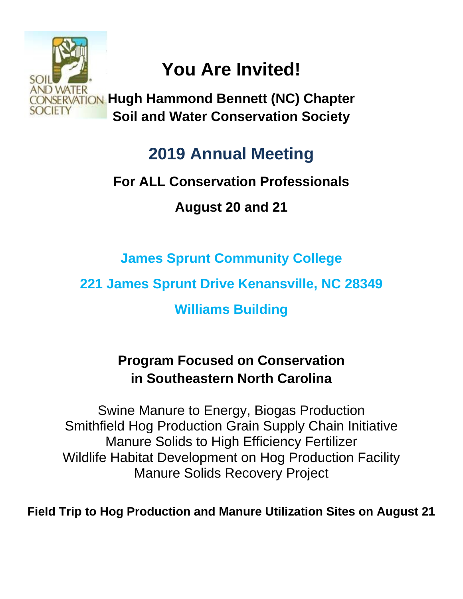

# **You Are Invited!**

**Hugh Hammond Bennett (NC) Chapter Soil and Water Conservation Society**

# **2019 Annual Meeting**

## **For ALL Conservation Professionals**

**August 20 and 21**

**James Sprunt Community College**

**221 James Sprunt Drive Kenansville, NC 28349**

**Williams Building**

## **Program Focused on Conservation in Southeastern North Carolina**

Swine Manure to Energy, Biogas Production Smithfield Hog Production Grain Supply Chain Initiative Manure Solids to High Efficiency Fertilizer Wildlife Habitat Development on Hog Production Facility Manure Solids Recovery Project

**Field Trip to Hog Production and Manure Utilization Sites on August 21**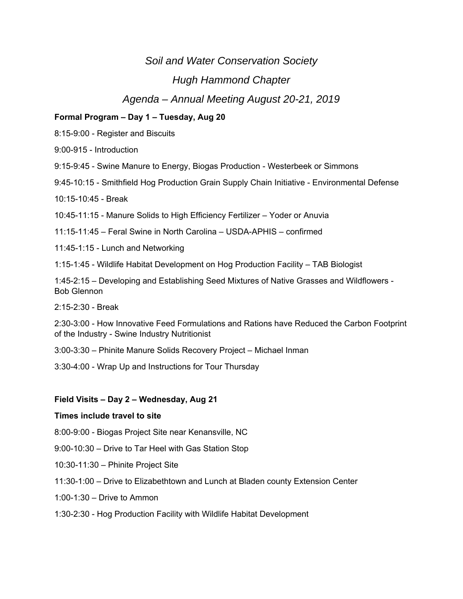## *Soil and Water Conservation Society*

### *Hugh Hammond Chapter*

### *Agenda – Annual Meeting August 20-21, 2019*

#### **Formal Program – Day 1 – Tuesday, Aug 20**

8:15-9:00 - Register and Biscuits

9:00-915 - Introduction

9:15-9:45 - Swine Manure to Energy, Biogas Production - Westerbeek or Simmons

9:45-10:15 - Smithfield Hog Production Grain Supply Chain Initiative - Environmental Defense

10:15-10:45 - Break

10:45-11:15 - Manure Solids to High Efficiency Fertilizer – Yoder or Anuvia

11:15-11:45 – Feral Swine in North Carolina – USDA-APHIS – confirmed

11:45-1:15 - Lunch and Networking

1:15-1:45 - Wildlife Habitat Development on Hog Production Facility – TAB Biologist

1:45-2:15 – Developing and Establishing Seed Mixtures of Native Grasses and Wildflowers - Bob Glennon

2:15-2:30 - Break

2:30-3:00 - How Innovative Feed Formulations and Rations have Reduced the Carbon Footprint of the Industry - Swine Industry Nutritionist

3:00-3:30 – Phinite Manure Solids Recovery Project – Michael Inman

3:30-4:00 - Wrap Up and Instructions for Tour Thursday

#### **Field Visits – Day 2 – Wednesday, Aug 21**

#### **Times include travel to site**

8:00-9:00 - Biogas Project Site near Kenansville, NC

9:00-10:30 – Drive to Tar Heel with Gas Station Stop

- 10:30-11:30 Phinite Project Site
- 11:30-1:00 Drive to Elizabethtown and Lunch at Bladen county Extension Center
- 1:00-1:30 Drive to Ammon
- 1:30-2:30 Hog Production Facility with Wildlife Habitat Development